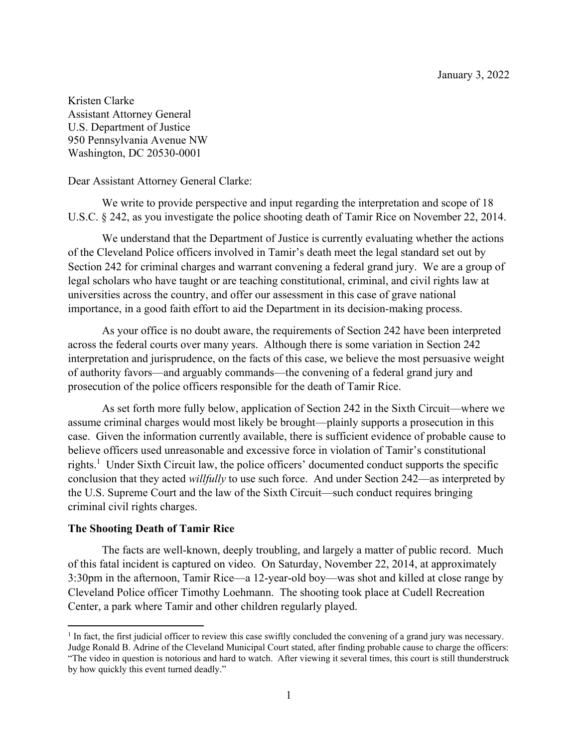Kristen Clarke Assistant Attorney General U.S. Department of Justice 950 Pennsylvania Avenue NW Washington, DC 20530-0001

Dear Assistant Attorney General Clarke:

We write to provide perspective and input regarding the interpretation and scope of 18 U.S.C. § 242, as you investigate the police shooting death of Tamir Rice on November 22, 2014.

We understand that the Department of Justice is currently evaluating whether the actions of the Cleveland Police officers involved in Tamir's death meet the legal standard set out by Section 242 for criminal charges and warrant convening a federal grand jury. We are a group of legal scholars who have taught or are teaching constitutional, criminal, and civil rights law at universities across the country, and offer our assessment in this case of grave national importance, in a good faith effort to aid the Department in its decision-making process.

As your office is no doubt aware, the requirements of Section 242 have been interpreted across the federal courts over many years. Although there is some variation in Section 242 interpretation and jurisprudence, on the facts of this case, we believe the most persuasive weight of authority favors—and arguably commands—the convening of a federal grand jury and prosecution of the police officers responsible for the death of Tamir Rice.

As set forth more fully below, application of Section 242 in the Sixth Circuit—where we assume criminal charges would most likely be brought—plainly supports a prosecution in this case. Given the information currently available, there is sufficient evidence of probable cause to believe officers used unreasonable and excessive force in violation of Tamir's constitutional rights.<sup>1</sup> Under Sixth Circuit law, the police officers' documented conduct supports the specific conclusion that they acted *willfully* to use such force. And under Section 242—as interpreted by the U.S. Supreme Court and the law of the Sixth Circuit—such conduct requires bringing criminal civil rights charges.

#### **The Shooting Death of Tamir Rice**

The facts are well-known, deeply troubling, and largely a matter of public record. Much of this fatal incident is captured on video. On Saturday, November 22, 2014, at approximately 3:30pm in the afternoon, Tamir Rice—a 12-year-old boy—was shot and killed at close range by Cleveland Police officer Timothy Loehmann. The shooting took place at Cudell Recreation Center, a park where Tamir and other children regularly played.

<sup>&</sup>lt;sup>1</sup> In fact, the first judicial officer to review this case swiftly concluded the convening of a grand jury was necessary. Judge Ronald B. Adrine of the Cleveland Municipal Court stated, after finding probable cause to charge the officers: "The video in question is notorious and hard to watch. After viewing it several times, this court is still thunderstruck

by how quickly this event turned deadly."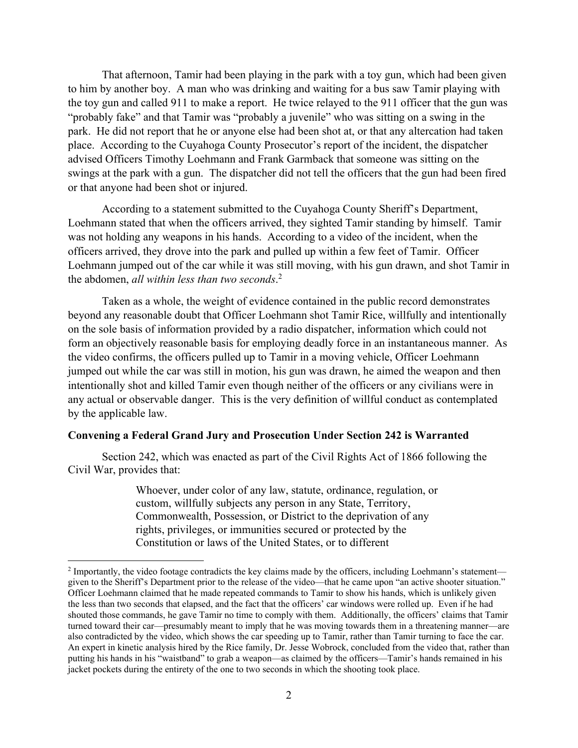That afternoon, Tamir had been playing in the park with a toy gun, which had been given to him by another boy. A man who was drinking and waiting for a bus saw Tamir playing with the toy gun and called 911 to make a report. He twice relayed to the 911 officer that the gun was "probably fake" and that Tamir was "probably a juvenile" who was sitting on a swing in the park. He did not report that he or anyone else had been shot at, or that any altercation had taken place. According to the Cuyahoga County Prosecutor's report of the incident, the dispatcher advised Officers Timothy Loehmann and Frank Garmback that someone was sitting on the swings at the park with a gun. The dispatcher did not tell the officers that the gun had been fired or that anyone had been shot or injured.

According to a statement submitted to the Cuyahoga County Sheriff's Department, Loehmann stated that when the officers arrived, they sighted Tamir standing by himself. Tamir was not holding any weapons in his hands. According to a video of the incident, when the officers arrived, they drove into the park and pulled up within a few feet of Tamir. Officer Loehmann jumped out of the car while it was still moving, with his gun drawn, and shot Tamir in the abdomen, *all within less than two seconds*. 2

Taken as a whole, the weight of evidence contained in the public record demonstrates beyond any reasonable doubt that Officer Loehmann shot Tamir Rice, willfully and intentionally on the sole basis of information provided by a radio dispatcher, information which could not form an objectively reasonable basis for employing deadly force in an instantaneous manner. As the video confirms, the officers pulled up to Tamir in a moving vehicle, Officer Loehmann jumped out while the car was still in motion, his gun was drawn, he aimed the weapon and then intentionally shot and killed Tamir even though neither of the officers or any civilians were in any actual or observable danger. This is the very definition of willful conduct as contemplated by the applicable law.

#### **Convening a Federal Grand Jury and Prosecution Under Section 242 is Warranted**

Section 242, which was enacted as part of the Civil Rights Act of 1866 following the Civil War, provides that:

> Whoever, under color of any law, statute, ordinance, regulation, or custom, willfully subjects any person in any State, Territory, Commonwealth, Possession, or District to the deprivation of any rights, privileges, or immunities secured or protected by the Constitution or laws of the United States, or to different

<sup>&</sup>lt;sup>2</sup> Importantly, the video footage contradicts the key claims made by the officers, including Loehmann's statement given to the Sheriff's Department prior to the release of the video—that he came upon "an active shooter situation." Officer Loehmann claimed that he made repeated commands to Tamir to show his hands, which is unlikely given the less than two seconds that elapsed, and the fact that the officers' car windows were rolled up. Even if he had shouted those commands, he gave Tamir no time to comply with them. Additionally, the officers' claims that Tamir turned toward their car—presumably meant to imply that he was moving towards them in a threatening manner—are also contradicted by the video, which shows the car speeding up to Tamir, rather than Tamir turning to face the car. An expert in kinetic analysis hired by the Rice family, Dr. Jesse Wobrock, concluded from the video that, rather than putting his hands in his "waistband" to grab a weapon—as claimed by the officers—Tamir's hands remained in his jacket pockets during the entirety of the one to two seconds in which the shooting took place.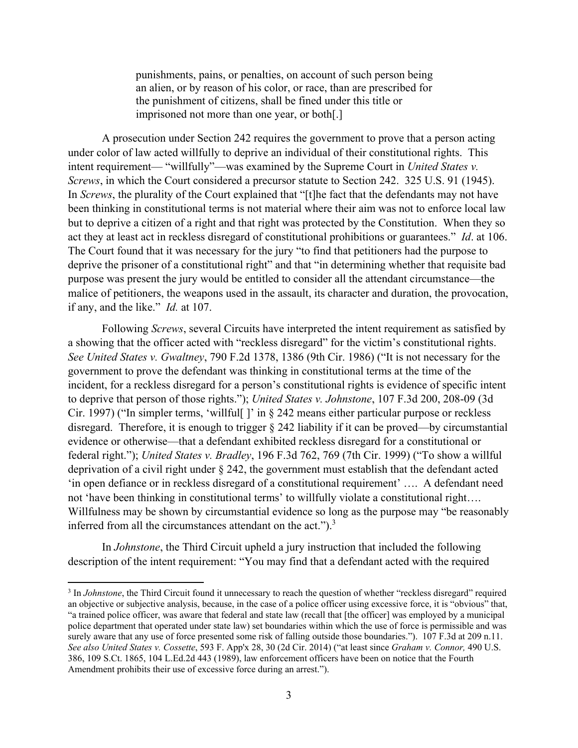punishments, pains, or penalties, on account of such person being an alien, or by reason of his color, or race, than are prescribed for the punishment of citizens, shall be fined under this title or imprisoned not more than one year, or both[.]

 A prosecution under Section 242 requires the government to prove that a person acting under color of law acted willfully to deprive an individual of their constitutional rights. This intent requirement— "willfully"—was examined by the Supreme Court in *United States v. Screws*, in which the Court considered a precursor statute to Section 242. 325 U.S. 91 (1945). In *Screws*, the plurality of the Court explained that "[t]he fact that the defendants may not have been thinking in constitutional terms is not material where their aim was not to enforce local law but to deprive a citizen of a right and that right was protected by the Constitution. When they so act they at least act in reckless disregard of constitutional prohibitions or guarantees." *Id*. at 106. The Court found that it was necessary for the jury "to find that petitioners had the purpose to deprive the prisoner of a constitutional right" and that "in determining whether that requisite bad purpose was present the jury would be entitled to consider all the attendant circumstance—the malice of petitioners, the weapons used in the assault, its character and duration, the provocation, if any, and the like." *Id.* at 107.

 Following *Screws*, several Circuits have interpreted the intent requirement as satisfied by a showing that the officer acted with "reckless disregard" for the victim's constitutional rights. *See United States v. Gwaltney*, 790 F.2d 1378, 1386 (9th Cir. 1986) ("It is not necessary for the government to prove the defendant was thinking in constitutional terms at the time of the incident, for a reckless disregard for a person's constitutional rights is evidence of specific intent to deprive that person of those rights."); *United States v. Johnstone*, 107 F.3d 200, 208-09 (3d Cir. 1997) ("In simpler terms, 'willful[ ]' in § 242 means either particular purpose or reckless disregard. Therefore, it is enough to trigger § 242 liability if it can be proved—by circumstantial evidence or otherwise—that a defendant exhibited reckless disregard for a constitutional or federal right."); *United States v. Bradley*, 196 F.3d 762, 769 (7th Cir. 1999) ("To show a willful deprivation of a civil right under § 242, the government must establish that the defendant acted 'in open defiance or in reckless disregard of a constitutional requirement' …. A defendant need not 'have been thinking in constitutional terms' to willfully violate a constitutional right…. Willfulness may be shown by circumstantial evidence so long as the purpose may "be reasonably inferred from all the circumstances attendant on the act." $)^3$ 

In *Johnstone*, the Third Circuit upheld a jury instruction that included the following description of the intent requirement: "You may find that a defendant acted with the required

<sup>&</sup>lt;sup>3</sup> In *Johnstone*, the Third Circuit found it unnecessary to reach the question of whether "reckless disregard" required an objective or subjective analysis, because, in the case of a police officer using excessive force, it is "obvious" that, "a trained police officer, was aware that federal and state law (recall that [the officer] was employed by a municipal police department that operated under state law) set boundaries within which the use of force is permissible and was surely aware that any use of force presented some risk of falling outside those boundaries."). 107 F.3d at 209 n.11. *See also United States v. Cossette*, 593 F. App'x 28, 30 (2d Cir. 2014) ("at least since *Graham v. Connor,* 490 U.S. 386, 109 S.Ct. 1865, 104 L.Ed.2d 443 (1989), law enforcement officers have been on notice that the Fourth Amendment prohibits their use of excessive force during an arrest.").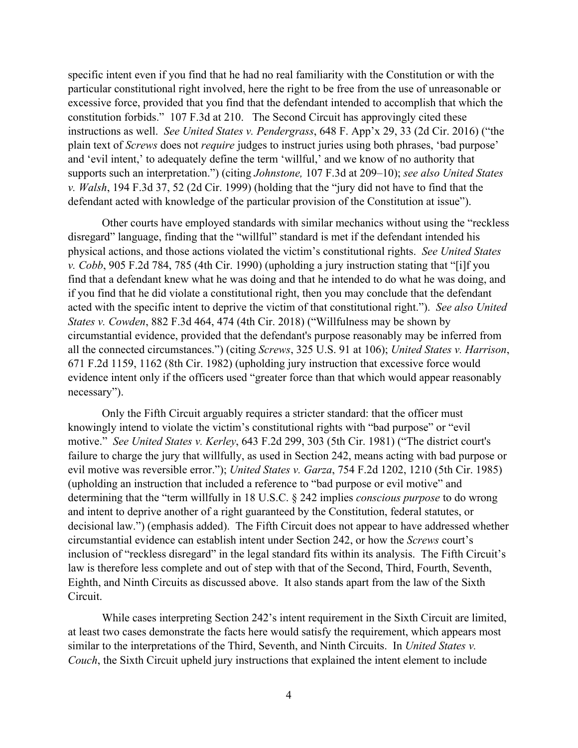specific intent even if you find that he had no real familiarity with the Constitution or with the particular constitutional right involved, here the right to be free from the use of unreasonable or excessive force, provided that you find that the defendant intended to accomplish that which the constitution forbids." 107 F.3d at 210. The Second Circuit has approvingly cited these instructions as well. *See United States v. Pendergrass*, 648 F. App'x 29, 33 (2d Cir. 2016) ("the plain text of *Screws* does not *require* judges to instruct juries using both phrases, 'bad purpose' and 'evil intent,' to adequately define the term 'willful,' and we know of no authority that supports such an interpretation.") (citing *Johnstone,* 107 F.3d at 209–10); *see also United States v. Walsh*, 194 F.3d 37, 52 (2d Cir. 1999) (holding that the "jury did not have to find that the defendant acted with knowledge of the particular provision of the Constitution at issue").

Other courts have employed standards with similar mechanics without using the "reckless disregard" language, finding that the "willful" standard is met if the defendant intended his physical actions, and those actions violated the victim's constitutional rights. *See United States v. Cobb*, 905 F.2d 784, 785 (4th Cir. 1990) (upholding a jury instruction stating that "[i]f you find that a defendant knew what he was doing and that he intended to do what he was doing, and if you find that he did violate a constitutional right, then you may conclude that the defendant acted with the specific intent to deprive the victim of that constitutional right."). *See also United States v. Cowden*, 882 F.3d 464, 474 (4th Cir. 2018) ("Willfulness may be shown by circumstantial evidence, provided that the defendant's purpose reasonably may be inferred from all the connected circumstances.") (citing *Screws*, 325 U.S. 91 at 106); *United States v. Harrison*, 671 F.2d 1159, 1162 (8th Cir. 1982) (upholding jury instruction that excessive force would evidence intent only if the officers used "greater force than that which would appear reasonably necessary").

Only the Fifth Circuit arguably requires a stricter standard: that the officer must knowingly intend to violate the victim's constitutional rights with "bad purpose" or "evil motive." *See United States v. Kerley*, 643 F.2d 299, 303 (5th Cir. 1981) ("The district court's failure to charge the jury that willfully, as used in Section 242, means acting with bad purpose or evil motive was reversible error."); *United States v. Garza*, 754 F.2d 1202, 1210 (5th Cir. 1985) (upholding an instruction that included a reference to "bad purpose or evil motive" and determining that the "term willfully in 18 U.S.C. § 242 implies *conscious purpose* to do wrong and intent to deprive another of a right guaranteed by the Constitution, federal statutes, or decisional law.") (emphasis added). The Fifth Circuit does not appear to have addressed whether circumstantial evidence can establish intent under Section 242, or how the *Screws* court's inclusion of "reckless disregard" in the legal standard fits within its analysis. The Fifth Circuit's law is therefore less complete and out of step with that of the Second, Third, Fourth, Seventh, Eighth, and Ninth Circuits as discussed above. It also stands apart from the law of the Sixth Circuit.

While cases interpreting Section 242's intent requirement in the Sixth Circuit are limited, at least two cases demonstrate the facts here would satisfy the requirement, which appears most similar to the interpretations of the Third, Seventh, and Ninth Circuits. In *United States v. Couch*, the Sixth Circuit upheld jury instructions that explained the intent element to include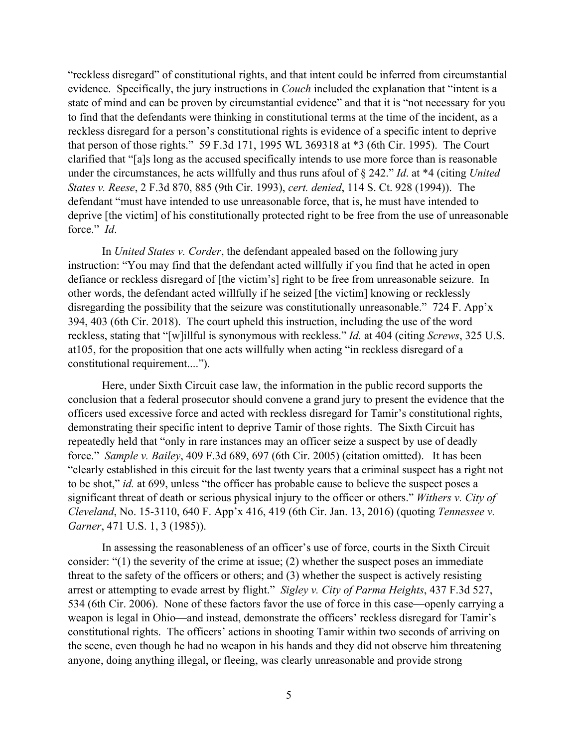"reckless disregard" of constitutional rights, and that intent could be inferred from circumstantial evidence. Specifically, the jury instructions in *Couch* included the explanation that "intent is a state of mind and can be proven by circumstantial evidence" and that it is "not necessary for you to find that the defendants were thinking in constitutional terms at the time of the incident, as a reckless disregard for a person's constitutional rights is evidence of a specific intent to deprive that person of those rights." 59 F.3d 171, 1995 WL 369318 at \*3 (6th Cir. 1995). The Court clarified that "[a]s long as the accused specifically intends to use more force than is reasonable under the circumstances, he acts willfully and thus runs afoul of § 242." *Id*. at \*4 (citing *United States v. Reese*, 2 F.3d 870, 885 (9th Cir. 1993), *cert. denied*, 114 S. Ct. 928 (1994)). The defendant "must have intended to use unreasonable force, that is, he must have intended to deprive [the victim] of his constitutionally protected right to be free from the use of unreasonable force." *Id*.

In *United States v. Corder*, the defendant appealed based on the following jury instruction: "You may find that the defendant acted willfully if you find that he acted in open defiance or reckless disregard of [the victim's] right to be free from unreasonable seizure. In other words, the defendant acted willfully if he seized [the victim] knowing or recklessly disregarding the possibility that the seizure was constitutionally unreasonable." 724 F. App'x 394, 403 (6th Cir. 2018). The court upheld this instruction, including the use of the word reckless, stating that "[w]illful is synonymous with reckless." *Id.* at 404 (citing *Screws*, 325 U.S. at105, for the proposition that one acts willfully when acting "in reckless disregard of a constitutional requirement....").

 Here, under Sixth Circuit case law, the information in the public record supports the conclusion that a federal prosecutor should convene a grand jury to present the evidence that the officers used excessive force and acted with reckless disregard for Tamir's constitutional rights, demonstrating their specific intent to deprive Tamir of those rights. The Sixth Circuit has repeatedly held that "only in rare instances may an officer seize a suspect by use of deadly force." *Sample v. Bailey*, 409 F.3d 689, 697 (6th Cir. 2005) (citation omitted). It has been "clearly established in this circuit for the last twenty years that a criminal suspect has a right not to be shot," *id.* at 699, unless "the officer has probable cause to believe the suspect poses a significant threat of death or serious physical injury to the officer or others." *Withers v. City of Cleveland*, No. 15-3110, 640 F. App'x 416, 419 (6th Cir. Jan. 13, 2016) (quoting *Tennessee v. Garner*, 471 U.S. 1, 3 (1985)).

In assessing the reasonableness of an officer's use of force, courts in the Sixth Circuit consider: "(1) the severity of the crime at issue; (2) whether the suspect poses an immediate threat to the safety of the officers or others; and (3) whether the suspect is actively resisting arrest or attempting to evade arrest by flight." *Sigley v. City of Parma Heights*, 437 F.3d 527, 534 (6th Cir. 2006). None of these factors favor the use of force in this case—openly carrying a weapon is legal in Ohio—and instead, demonstrate the officers' reckless disregard for Tamir's constitutional rights. The officers' actions in shooting Tamir within two seconds of arriving on the scene, even though he had no weapon in his hands and they did not observe him threatening anyone, doing anything illegal, or fleeing, was clearly unreasonable and provide strong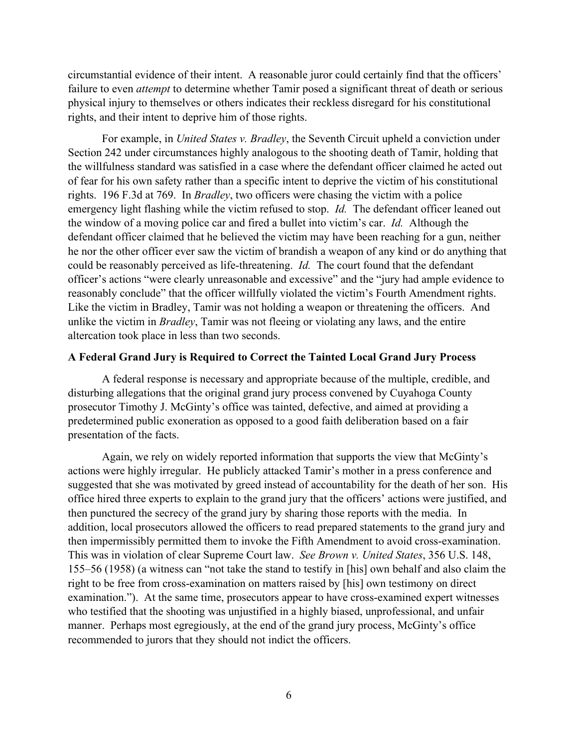circumstantial evidence of their intent. A reasonable juror could certainly find that the officers' failure to even *attempt* to determine whether Tamir posed a significant threat of death or serious physical injury to themselves or others indicates their reckless disregard for his constitutional rights, and their intent to deprive him of those rights.

For example, in *United States v. Bradley*, the Seventh Circuit upheld a conviction under Section 242 under circumstances highly analogous to the shooting death of Tamir, holding that the willfulness standard was satisfied in a case where the defendant officer claimed he acted out of fear for his own safety rather than a specific intent to deprive the victim of his constitutional rights. 196 F.3d at 769. In *Bradley*, two officers were chasing the victim with a police emergency light flashing while the victim refused to stop. *Id.* The defendant officer leaned out the window of a moving police car and fired a bullet into victim's car. *Id.* Although the defendant officer claimed that he believed the victim may have been reaching for a gun, neither he nor the other officer ever saw the victim of brandish a weapon of any kind or do anything that could be reasonably perceived as life-threatening. *Id.* The court found that the defendant officer's actions "were clearly unreasonable and excessive" and the "jury had ample evidence to reasonably conclude" that the officer willfully violated the victim's Fourth Amendment rights. Like the victim in Bradley, Tamir was not holding a weapon or threatening the officers. And unlike the victim in *Bradley*, Tamir was not fleeing or violating any laws, and the entire altercation took place in less than two seconds.

#### **A Federal Grand Jury is Required to Correct the Tainted Local Grand Jury Process**

A federal response is necessary and appropriate because of the multiple, credible, and disturbing allegations that the original grand jury process convened by Cuyahoga County prosecutor Timothy J. McGinty's office was tainted, defective, and aimed at providing a predetermined public exoneration as opposed to a good faith deliberation based on a fair presentation of the facts.

Again, we rely on widely reported information that supports the view that McGinty's actions were highly irregular. He publicly attacked Tamir's mother in a press conference and suggested that she was motivated by greed instead of accountability for the death of her son. His office hired three experts to explain to the grand jury that the officers' actions were justified, and then punctured the secrecy of the grand jury by sharing those reports with the media. In addition, local prosecutors allowed the officers to read prepared statements to the grand jury and then impermissibly permitted them to invoke the Fifth Amendment to avoid cross-examination. This was in violation of clear Supreme Court law. *See Brown v. United States*, 356 U.S. 148, 155–56 (1958) (a witness can "not take the stand to testify in [his] own behalf and also claim the right to be free from cross-examination on matters raised by [his] own testimony on direct examination."). At the same time, prosecutors appear to have cross-examined expert witnesses who testified that the shooting was unjustified in a highly biased, unprofessional, and unfair manner. Perhaps most egregiously, at the end of the grand jury process, McGinty's office recommended to jurors that they should not indict the officers.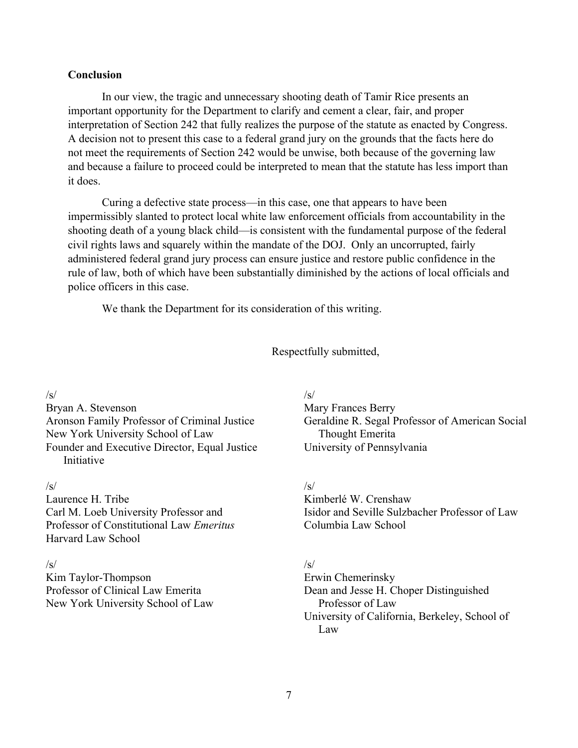#### **Conclusion**

In our view, the tragic and unnecessary shooting death of Tamir Rice presents an important opportunity for the Department to clarify and cement a clear, fair, and proper interpretation of Section 242 that fully realizes the purpose of the statute as enacted by Congress. A decision not to present this case to a federal grand jury on the grounds that the facts here do not meet the requirements of Section 242 would be unwise, both because of the governing law and because a failure to proceed could be interpreted to mean that the statute has less import than it does.

Curing a defective state process—in this case, one that appears to have been impermissibly slanted to protect local white law enforcement officials from accountability in the shooting death of a young black child—is consistent with the fundamental purpose of the federal civil rights laws and squarely within the mandate of the DOJ. Only an uncorrupted, fairly administered federal grand jury process can ensure justice and restore public confidence in the rule of law, both of which have been substantially diminished by the actions of local officials and police officers in this case.

We thank the Department for its consideration of this writing.

Respectfully submitted,

#### /s/

Bryan A. Stevenson Aronson Family Professor of Criminal Justice New York University School of Law Founder and Executive Director, Equal Justice Initiative

#### /s/

Laurence H. Tribe Carl M. Loeb University Professor and Professor of Constitutional Law *Emeritus* Harvard Law School

#### $\sqrt{s}$

Kim Taylor-Thompson Professor of Clinical Law Emerita New York University School of Law

#### $\sqrt{s}$

Mary Frances Berry Geraldine R. Segal Professor of American Social Thought Emerita University of Pennsylvania

### $\sqrt{s}$

Kimberlé W. Crenshaw Isidor and Seville Sulzbacher Professor of Law Columbia Law School

## $\sqrt{s}$

Erwin Chemerinsky Dean and Jesse H. Choper Distinguished Professor of Law University of California, Berkeley, School of Law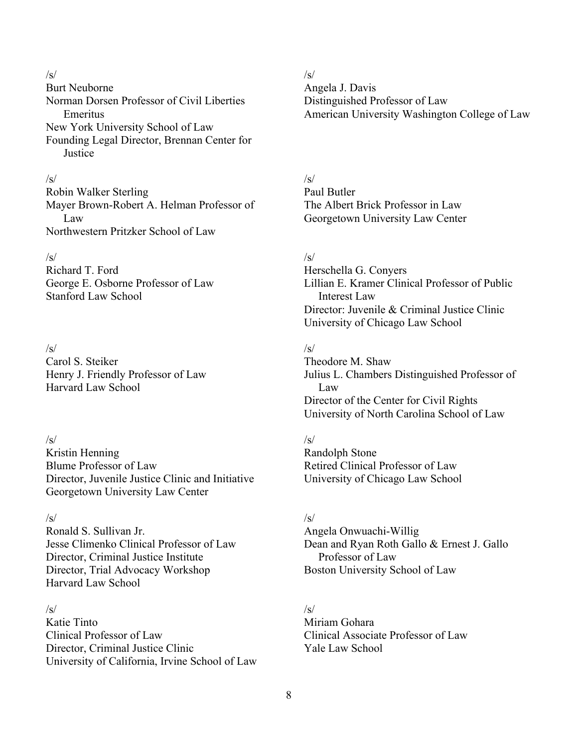# $/s/$

Burt Neuborne Norman Dorsen Professor of Civil Liberties Emeritus New York University School of Law Founding Legal Director, Brennan Center for **Justice** 

#### /s/

Robin Walker Sterling Mayer Brown-Robert A. Helman Professor of Law Northwestern Pritzker School of Law

#### $\sqrt{s}$

Richard T. Ford George E. Osborne Professor of Law Stanford Law School

### $\sqrt{s}$

Carol S. Steiker Henry J. Friendly Professor of Law Harvard Law School

#### $\sqrt{s}$

Kristin Henning Blume Professor of Law Director, Juvenile Justice Clinic and Initiative Georgetown University Law Center

## $\sqrt{s}$

Ronald S. Sullivan Jr. Jesse Climenko Clinical Professor of Law Director, Criminal Justice Institute Director, Trial Advocacy Workshop Harvard Law School

# $\sqrt{s}$

Katie Tinto Clinical Professor of Law Director, Criminal Justice Clinic University of California, Irvine School of Law

### $\sqrt{s}$

Angela J. Davis Distinguished Professor of Law American University Washington College of Law

# $\sqrt{s}$

Paul Butler The Albert Brick Professor in Law Georgetown University Law Center

### $\sqrt{s}$

Herschella G. Conyers Lillian E. Kramer Clinical Professor of Public Interest Law Director: Juvenile & Criminal Justice Clinic University of Chicago Law School

## $\sqrt{s}$

Theodore M. Shaw Julius L. Chambers Distinguished Professor of Law Director of the Center for Civil Rights University of North Carolina School of Law

### $\sqrt{s}$

Randolph Stone Retired Clinical Professor of Law University of Chicago Law School

### $\sqrt{s}$

Angela Onwuachi-Willig Dean and Ryan Roth Gallo & Ernest J. Gallo Professor of Law Boston University School of Law

### $\sqrt{s}$

Miriam Gohara Clinical Associate Professor of Law Yale Law School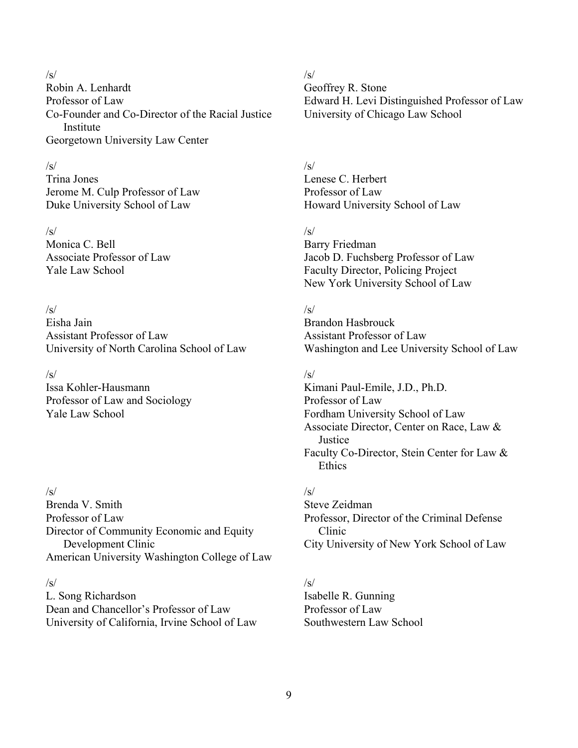#### /s/

Robin A. Lenhardt Professor of Law Co-Founder and Co-Director of the Racial Justice Institute Georgetown University Law Center

#### /s/

Trina Jones Jerome M. Culp Professor of Law Duke University School of Law

 $/s/$ Monica C. Bell Associate Professor of Law Yale Law School

### $\sqrt{s}$

Eisha Jain Assistant Professor of Law University of North Carolina School of Law

## $/s/$

Issa Kohler-Hausmann Professor of Law and Sociology Yale Law School

### $\sqrt{s}$

Brenda V. Smith Professor of Law Director of Community Economic and Equity Development Clinic American University Washington College of Law

#### /s/

L. Song Richardson Dean and Chancellor's Professor of Law University of California, Irvine School of Law

## $\sqrt{s}$

Geoffrey R. Stone Edward H. Levi Distinguished Professor of Law University of Chicago Law School

## $/s/$

Lenese C. Herbert Professor of Law Howard University School of Law

### $\sqrt{s}$

Barry Friedman Jacob D. Fuchsberg Professor of Law Faculty Director, Policing Project New York University School of Law

## $\sqrt{s}$

Brandon Hasbrouck Assistant Professor of Law Washington and Lee University School of Law

# /s/

Kimani Paul-Emile, J.D., Ph.D. Professor of Law Fordham University School of Law Associate Director, Center on Race, Law & **Justice** Faculty Co-Director, Stein Center for Law & **Ethics** 

# $\sqrt{s}$

Steve Zeidman Professor, Director of the Criminal Defense Clinic City University of New York School of Law

# /s/

Isabelle R. Gunning Professor of Law Southwestern Law School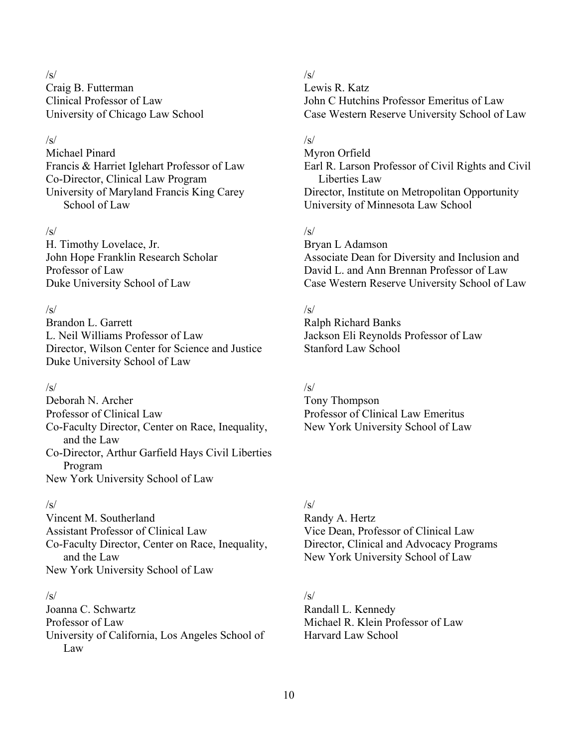#### $\sqrt{s}$

Craig B. Futterman Clinical Professor of Law University of Chicago Law School

### $\sqrt{s}$

Michael Pinard Francis & Harriet Iglehart Professor of Law Co-Director, Clinical Law Program University of Maryland Francis King Carey School of Law

### $\sqrt{s}$

H. Timothy Lovelace, Jr. John Hope Franklin Research Scholar Professor of Law Duke University School of Law

### $\sqrt{s}$

Brandon L. Garrett L. Neil Williams Professor of Law Director, Wilson Center for Science and Justice Duke University School of Law

### $\sqrt{s}$

Deborah N. Archer Professor of Clinical Law Co-Faculty Director, Center on Race, Inequality, and the Law Co-Director, Arthur Garfield Hays Civil Liberties Program New York University School of Law

## $/s/$

Vincent M. Southerland Assistant Professor of Clinical Law Co-Faculty Director, Center on Race, Inequality, and the Law New York University School of Law

### $\sqrt{s}$

Joanna C. Schwartz Professor of Law University of California, Los Angeles School of Law

### $\sqrt{s}$

Lewis R. Katz John C Hutchins Professor Emeritus of Law Case Western Reserve University School of Law

## $\sqrt{s}$

Myron Orfield Earl R. Larson Professor of Civil Rights and Civil Liberties Law Director, Institute on Metropolitan Opportunity University of Minnesota Law School

## $\sqrt{s}$

Bryan L Adamson Associate Dean for Diversity and Inclusion and David L. and Ann Brennan Professor of Law Case Western Reserve University School of Law

### $\sqrt{s}$

Ralph Richard Banks Jackson Eli Reynolds Professor of Law Stanford Law School

# $\sqrt{s}$

Tony Thompson Professor of Clinical Law Emeritus New York University School of Law

# $\sqrt{s}$

Randy A. Hertz Vice Dean, Professor of Clinical Law Director, Clinical and Advocacy Programs New York University School of Law

# $\sqrt{s}$

Randall L. Kennedy Michael R. Klein Professor of Law Harvard Law School